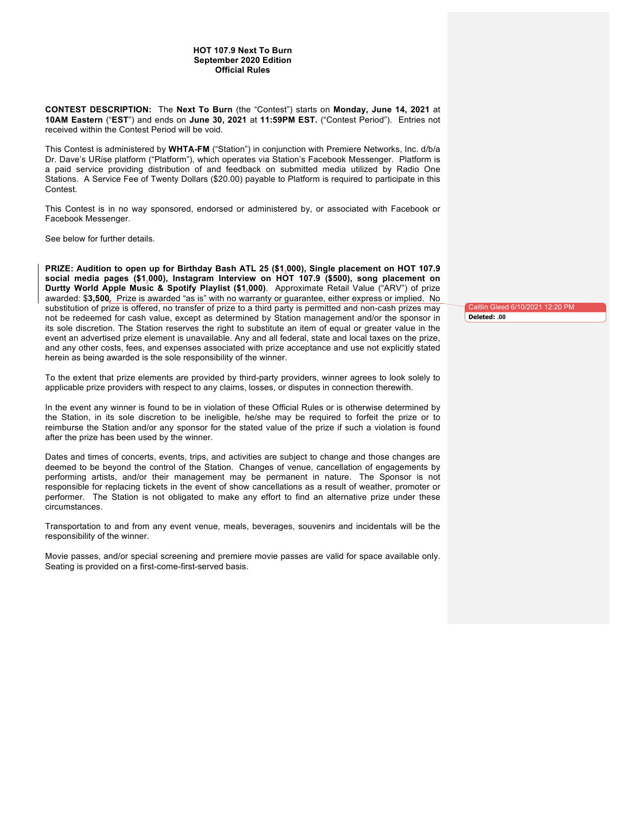## **HOT 107.9 Next To Burn September 2020 Edition Official Rules**

**CONTEST DESCRIPTION:** The **Next To Burn** (the "Contest") starts on **Monday, June 14, 2021** at **10AM Eastern** ("**EST**") and ends on **June 30, 2021** at **11:59PM EST.** ("Contest Period"). Entries not received within the Contest Period will be void.

This Contest is administered by **WHTA-FM** ("Station") in conjunction with Premiere Networks, Inc. d/b/a Dr. Dave's URise platform ("Platform"), which operates via Station's Facebook Messenger. Platform is a paid service providing distribution of and feedback on submitted media utilized by Radio One Stations. A Service Fee of Twenty Dollars (\$20.00) payable to Platform is required to participate in this Contest.

This Contest is in no way sponsored, endorsed or administered by, or associated with Facebook or Facebook Messenger.

See below for further details.

**PRIZE: Audition to open up for Birthday Bash ATL 25 (\$1,000), Single placement on HOT 107.9 social media pages (\$1,000), Instagram Interview on HOT 107.9 (\$500), song placement on Durtty World Apple Music & Spotify Playlist (\$1,000)**. Approximate Retail Value ("ARV") of prize awarded: \$**3,500**. Prize is awarded "as is" with no warranty or guarantee, either express or implied. No substitution of prize is offered, no transfer of prize to a third party is permitted and non-cash prizes may not be redeemed for cash value, except as determined by Station management and/or the sponsor in its sole discretion. The Station reserves the right to substitute an item of equal or greater value in the event an advertised prize element is unavailable. Any and all federal, state and local taxes on the prize, and any other costs, fees, and expenses associated with prize acceptance and use not explicitly stated herein as being awarded is the sole responsibility of the winner.

To the extent that prize elements are provided by third-party providers, winner agrees to look solely to applicable prize providers with respect to any claims, losses, or disputes in connection therewith.

In the event any winner is found to be in violation of these Official Rules or is otherwise determined by the Station, in its sole discretion to be ineligible, he/she may be required to forfeit the prize or to reimburse the Station and/or any sponsor for the stated value of the prize if such a violation is found after the prize has been used by the winner.

Dates and times of concerts, events, trips, and activities are subject to change and those changes are deemed to be beyond the control of the Station. Changes of venue, cancellation of engagements by performing artists, and/or their management may be permanent in nature. The Sponsor is not responsible for replacing tickets in the event of show cancellations as a result of weather, promoter or performer. The Station is not obligated to make any effort to find an alternative prize under these circumstances.

Transportation to and from any event venue, meals, beverages, souvenirs and incidentals will be the responsibility of the winner.

Movie passes, and/or special screening and premiere movie passes are valid for space available only. Seating is provided on a first-come-first-served basis.

Caitlin Gleed 6/10/2021 12:20 PM **Deleted: .00**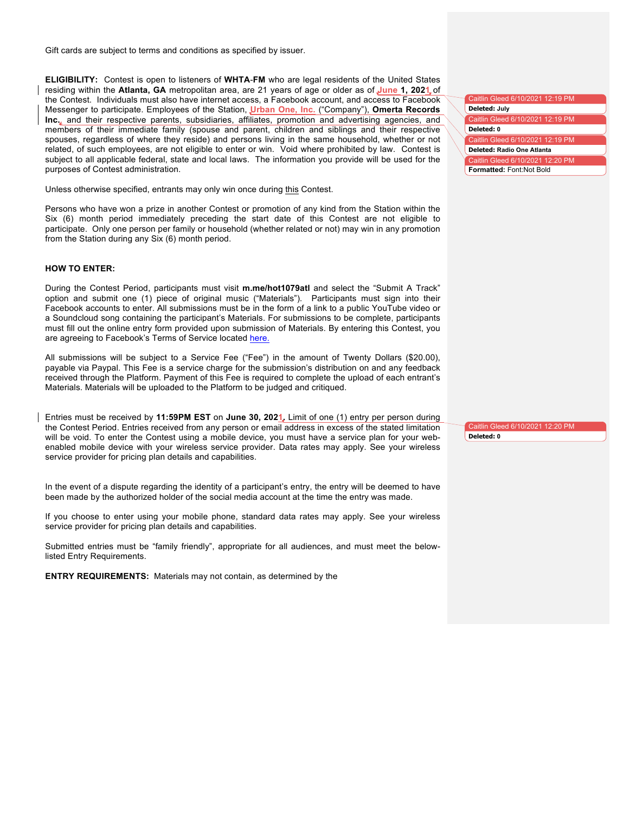Gift cards are subject to terms and conditions as specified by issuer.

**ELIGIBILITY:** Contest is open to listeners of **WHTA**-**FM** who are legal residents of the United States residing within the **Atlanta, GA** metropolitan area, are 21 years of age or older as of **June 1, 2021** of the Contest. Individuals must also have internet access, a Facebook account, and access to Facebook Messenger to participate. Employees of the Station, **Urban One, Inc.** ("Company"), **Omerta Records Inc.**, and their respective parents, subsidiaries, affiliates, promotion and advertising agencies, and members of their immediate family (spouse and parent, children and siblings and their respective spouses, regardless of where they reside) and persons living in the same household, whether or not related, of such employees, are not eligible to enter or win. Void where prohibited by law. Contest is subject to all applicable federal, state and local laws. The information you provide will be used for the purposes of Contest administration.

Unless otherwise specified, entrants may only win once during this Contest.

Persons who have won a prize in another Contest or promotion of any kind from the Station within the Six (6) month period immediately preceding the start date of this Contest are not eligible to participate. Only one person per family or household (whether related or not) may win in any promotion from the Station during any Six (6) month period.

## **HOW TO ENTER:**

During the Contest Period, participants must visit **m.me/hot1079atl** and select the "Submit A Track" option and submit one (1) piece of original music ("Materials"). Participants must sign into their Facebook accounts to enter. All submissions must be in the form of a link to a public YouTube video or a Soundcloud song containing the participant's Materials. For submissions to be complete, participants must fill out the online entry form provided upon submission of Materials. By entering this Contest, you are agreeing to Facebook's Terms of Service located here.

All submissions will be subject to a Service Fee ("Fee") in the amount of Twenty Dollars (\$20.00), payable via Paypal. This Fee is a service charge for the submission's distribution on and any feedback received through the Platform. Payment of this Fee is required to complete the upload of each entrant's Materials. Materials will be uploaded to the Platform to be judged and critiqued.

Entries must be received by **11:59PM EST** on **June 30, 2021.** Limit of one (1) entry per person during the Contest Period. Entries received from any person or email address in excess of the stated limitation will be void. To enter the Contest using a mobile device, you must have a service plan for your webenabled mobile device with your wireless service provider. Data rates may apply. See your wireless service provider for pricing plan details and capabilities.

In the event of a dispute regarding the identity of a participant's entry, the entry will be deemed to have been made by the authorized holder of the social media account at the time the entry was made.

If you choose to enter using your mobile phone, standard data rates may apply. See your wireless service provider for pricing plan details and capabilities.

Submitted entries must be "family friendly", appropriate for all audiences, and must meet the belowlisted Entry Requirements.

**ENTRY REQUIREMENTS:** Materials may not contain, as determined by the

| Caitlin Gleed 6/10/2021 12:19 PM |  |  |
|----------------------------------|--|--|
| Deleted: July                    |  |  |
| Caitlin Gleed 6/10/2021 12:19 PM |  |  |
| Deleted: 0                       |  |  |
| Caitlin Gleed 6/10/2021 12:19 PM |  |  |
| Deleted: Radio One Atlanta       |  |  |
| Caitlin Gleed 6/10/2021 12:20 PM |  |  |
| Formatted: Font:Not Bold         |  |  |

Caitlin Gleed 6/10/2021 12:20 PM **Deleted: 0**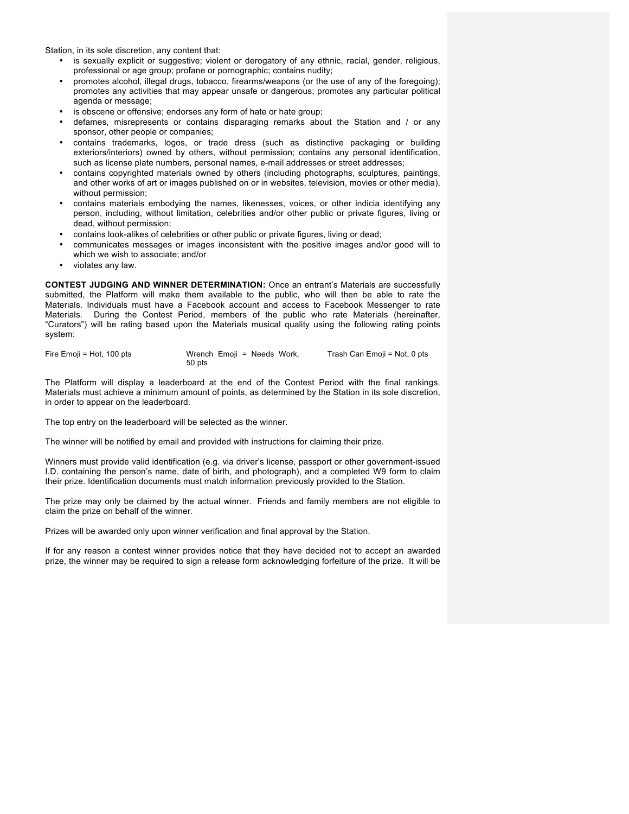Station, in its sole discretion, any content that:

- is sexually explicit or suggestive; violent or derogatory of any ethnic, racial, gender, religious, professional or age group; profane or pornographic; contains nudity;
- promotes alcohol, illegal drugs, tobacco, firearms/weapons (or the use of any of the foregoing); promotes any activities that may appear unsafe or dangerous; promotes any particular political agenda or message;
- is obscene or offensive; endorses any form of hate or hate group;
- defames, misrepresents or contains disparaging remarks about the Station and / or any sponsor, other people or companies;
- contains trademarks, logos, or trade dress (such as distinctive packaging or building exteriors/interiors) owned by others, without permission; contains any personal identification, such as license plate numbers, personal names, e-mail addresses or street addresses;
- contains copyrighted materials owned by others (including photographs, sculptures, paintings, and other works of art or images published on or in websites, television, movies or other media), without permission;
- contains materials embodying the names, likenesses, voices, or other indicia identifying any person, including, without limitation, celebrities and/or other public or private figures, living or dead, without permission;
- contains look-alikes of celebrities or other public or private figures, living or dead;
- communicates messages or images inconsistent with the positive images and/or good will to which we wish to associate; and/or
- violates any law.

**CONTEST JUDGING AND WINNER DETERMINATION:** Once an entrant's Materials are successfully submitted, the Platform will make them available to the public, who will then be able to rate the Materials. Individuals must have a Facebook account and access to Facebook Messenger to rate Materials. During the Contest Period, members of the public who rate Materials (hereinafter, "Curators") will be rating based upon the Materials musical quality using the following rating points system:

| Fire Emoji = Hot, 100 pts | Wrench Emoji = Needs Work, | Trash Can Emoji = Not, 0 pts |
|---------------------------|----------------------------|------------------------------|
|                           | 50 pts                     |                              |

The Platform will display a leaderboard at the end of the Contest Period with the final rankings. Materials must achieve a minimum amount of points, as determined by the Station in its sole discretion, in order to appear on the leaderboard.

The top entry on the leaderboard will be selected as the winner.

The winner will be notified by email and provided with instructions for claiming their prize.

Winners must provide valid identification (e.g. via driver's license, passport or other government-issued I.D. containing the person's name, date of birth, and photograph), and a completed W9 form to claim their prize. Identification documents must match information previously provided to the Station.

The prize may only be claimed by the actual winner. Friends and family members are not eligible to claim the prize on behalf of the winner.

Prizes will be awarded only upon winner verification and final approval by the Station.

If for any reason a contest winner provides notice that they have decided not to accept an awarded prize, the winner may be required to sign a release form acknowledging forfeiture of the prize. It will be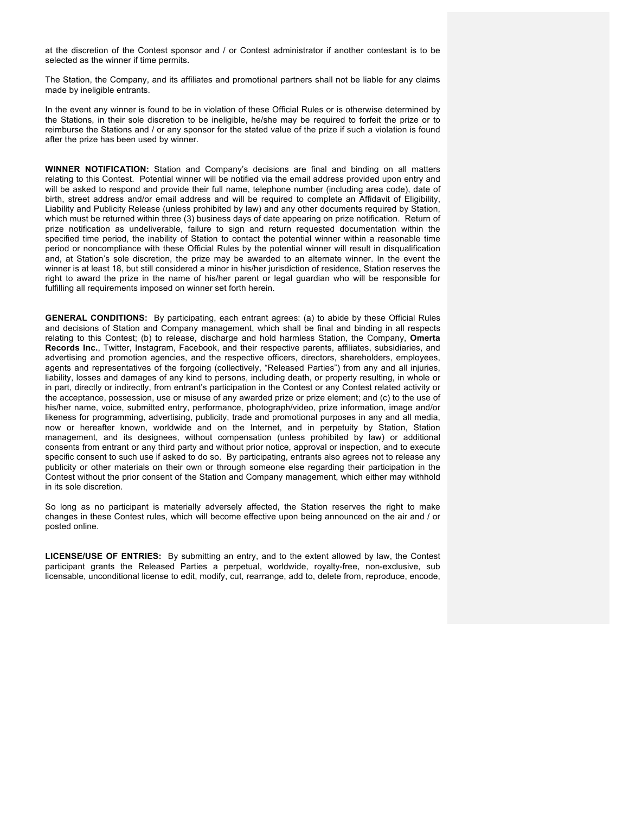at the discretion of the Contest sponsor and / or Contest administrator if another contestant is to be selected as the winner if time permits.

The Station, the Company, and its affiliates and promotional partners shall not be liable for any claims made by ineligible entrants.

In the event any winner is found to be in violation of these Official Rules or is otherwise determined by the Stations, in their sole discretion to be ineligible, he/she may be required to forfeit the prize or to reimburse the Stations and / or any sponsor for the stated value of the prize if such a violation is found after the prize has been used by winner.

**WINNER NOTIFICATION:** Station and Company's decisions are final and binding on all matters relating to this Contest. Potential winner will be notified via the email address provided upon entry and will be asked to respond and provide their full name, telephone number (including area code), date of birth, street address and/or email address and will be required to complete an Affidavit of Eligibility, Liability and Publicity Release (unless prohibited by law) and any other documents required by Station, which must be returned within three (3) business days of date appearing on prize notification. Return of prize notification as undeliverable, failure to sign and return requested documentation within the specified time period, the inability of Station to contact the potential winner within a reasonable time period or noncompliance with these Official Rules by the potential winner will result in disqualification and, at Station's sole discretion, the prize may be awarded to an alternate winner. In the event the winner is at least 18, but still considered a minor in his/her jurisdiction of residence, Station reserves the right to award the prize in the name of his/her parent or legal guardian who will be responsible for fulfilling all requirements imposed on winner set forth herein.

**GENERAL CONDITIONS:** By participating, each entrant agrees: (a) to abide by these Official Rules and decisions of Station and Company management, which shall be final and binding in all respects relating to this Contest; (b) to release, discharge and hold harmless Station, the Company, **Omerta Records Inc.**, Twitter, Instagram, Facebook, and their respective parents, affiliates, subsidiaries, and advertising and promotion agencies, and the respective officers, directors, shareholders, employees, agents and representatives of the forgoing (collectively, "Released Parties") from any and all injuries, liability, losses and damages of any kind to persons, including death, or property resulting, in whole or in part, directly or indirectly, from entrant's participation in the Contest or any Contest related activity or the acceptance, possession, use or misuse of any awarded prize or prize element; and (c) to the use of his/her name, voice, submitted entry, performance, photograph/video, prize information, image and/or likeness for programming, advertising, publicity, trade and promotional purposes in any and all media, now or hereafter known, worldwide and on the Internet, and in perpetuity by Station, Station management, and its designees, without compensation (unless prohibited by law) or additional consents from entrant or any third party and without prior notice, approval or inspection, and to execute specific consent to such use if asked to do so. By participating, entrants also agrees not to release any publicity or other materials on their own or through someone else regarding their participation in the Contest without the prior consent of the Station and Company management, which either may withhold in its sole discretion.

So long as no participant is materially adversely affected, the Station reserves the right to make changes in these Contest rules, which will become effective upon being announced on the air and / or posted online.

**LICENSE/USE OF ENTRIES:** By submitting an entry, and to the extent allowed by law, the Contest participant grants the Released Parties a perpetual, worldwide, royalty-free, non-exclusive, sub licensable, unconditional license to edit, modify, cut, rearrange, add to, delete from, reproduce, encode,